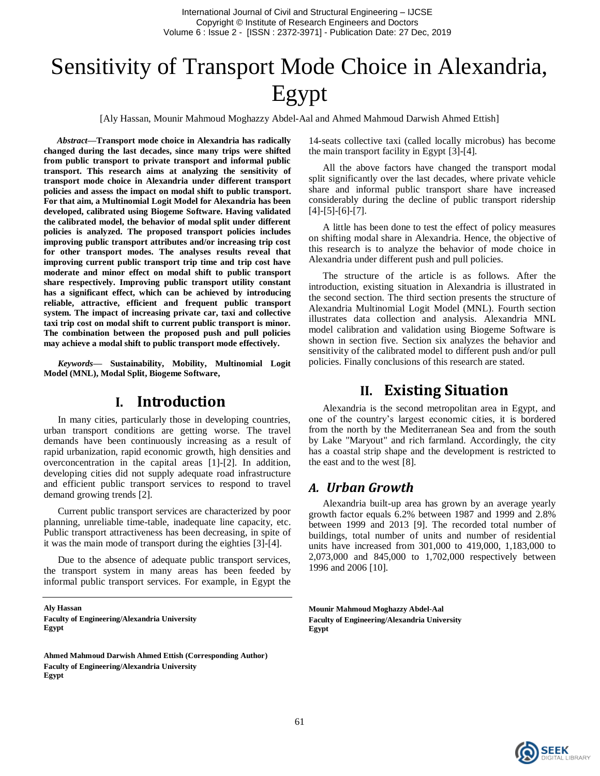# Sensitivity of Transport Mode Choice in Alexandria, Egypt

[Aly Hassan, Mounir Mahmoud Moghazzy Abdel-Aal and Ahmed Mahmoud Darwish Ahmed Ettish]

*Abstract***—Transport mode choice in Alexandria has radically changed during the last decades, since many trips were shifted from public transport to private transport and informal public transport. This research aims at analyzing the sensitivity of transport mode choice in Alexandria under different transport policies and assess the impact on modal shift to public transport. For that aim, a Multinomial Logit Model for Alexandria has been developed, calibrated using Biogeme Software. Having validated the calibrated model, the behavior of modal split under different policies is analyzed. The proposed transport policies includes improving public transport attributes and/or increasing trip cost for other transport modes. The analyses results reveal that improving current public transport trip time and trip cost have moderate and minor effect on modal shift to public transport share respectively. Improving public transport utility constant has a significant effect, which can be achieved by introducing reliable, attractive, efficient and frequent public transport system. The impact of increasing private car, taxi and collective taxi trip cost on modal shift to current public transport is minor. The combination between the proposed push and pull policies may achieve a modal shift to public transport mode effectively.**

*Keywords—* **Sustainability, Mobility, Multinomial Logit Model (MNL), Modal Split, Biogeme Software,** 

### **I. Introduction**

In many cities, particularly those in developing countries, urban transport conditions are getting worse. The travel demands have been continuously increasing as a result of rapid urbanization, rapid economic growth, high densities and overconcentration in the capital areas [\[1\]](#page-6-0)-[\[2\]](#page-6-1). In addition, developing cities did not supply adequate road infrastructure and efficient public transport services to respond to travel demand growing trends [\[2\]](#page-6-1).

Current public transport services are characterized by poor planning, unreliable time-table, inadequate line capacity, etc. Public transport attractiveness has been decreasing, in spite of it was the main mode of transport during the eighties [\[3\]](#page-6-2)-[\[4\]](#page-6-3).

Due to the absence of adequate public transport services, the transport system in many areas has been feeded by informal public transport services. For example, in Egypt the

**Aly Hassan Faculty of Engineering/Alexandria University Egypt**

**Ahmed Mahmoud Darwish Ahmed Ettish (Corresponding Author) Faculty of Engineering/Alexandria University Egypt**

14-seats collective taxi (called locally microbus) has become the main transport facility in Egypt [\[3\]](#page-6-2)-[\[4\]](#page-6-3).

All the above factors have changed the transport modal split significantly over the last decades, where private vehicle share and informal public transport share have increased considerably during the decline of public transport ridership [\[4\]](#page-6-3)-[\[5\]](#page-6-4)-[\[6\]](#page-6-5)-[\[7\]](#page-6-6).

A little has been done to test the effect of policy measures on shifting modal share in Alexandria. Hence, the objective of this research is to analyze the behavior of mode choice in Alexandria under different push and pull policies.

The structure of the article is as follows. After the introduction, existing situation in Alexandria is illustrated in the second section. The third section presents the structure of Alexandria Multinomial Logit Model (MNL). Fourth section illustrates data collection and analysis. Alexandria MNL model calibration and validation using Biogeme Software is shown in section five. Section six analyzes the behavior and sensitivity of the calibrated model to different push and/or pull policies. Finally conclusions of this research are stated.

### **II. Existing Situation**

Alexandria is the second metropolitan area in Egypt, and one of the country's largest economic cities, it is bordered from the north by the Mediterranean Sea and from the south by Lake "Maryout" and rich farmland. Accordingly, the city has a coastal strip shape and the development is restricted to the east and to the west [\[8\]](#page-6-7).

### *A. Urban Growth*

Alexandria built-up area has grown by an average yearly growth factor equals 6.2% between 1987 and 1999 and 2.8% between 1999 and 2013 [\[9\]](#page-6-8). The recorded total number of buildings, total number of units and number of residential units have increased from 301,000 to 419,000, 1,183,000 to 2,073,000 and 845,000 to 1,702,000 respectively between 1996 and 2006 [\[10\]](#page-6-9).

**Mounir Mahmoud Moghazzy Abdel-Aal Faculty of Engineering/Alexandria University Egypt**

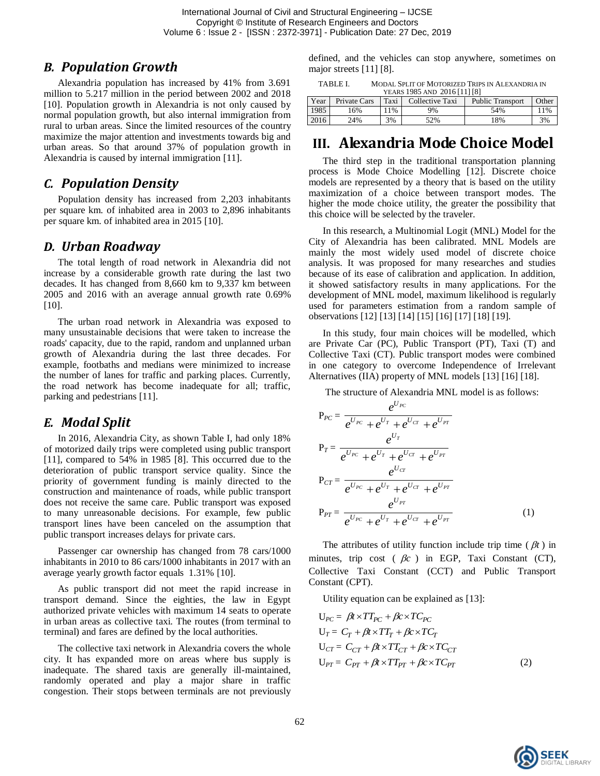### *B. Population Growth*

Alexandria population has increased by 41% from 3.691 million to 5.217 million in the period between 2002 and 2018 [\[10\]](#page-6-9). Population growth in Alexandria is not only caused by normal population growth, but also internal immigration from rural to urban areas. Since the limited resources of the country maximize the major attention and investments towards big and urban areas. So that around 37% of population growth in Alexandria is caused by internal immigration [\[11\]](#page-6-10).

### *C. Population Density*

Population density has increased from 2,203 inhabitants per square km. of inhabited area in 2003 to 2,896 inhabitants per square km. of inhabited area in 2015 [\[10\]](#page-6-9).

### *D. Urban Roadway*

The total length of road network in Alexandria did not increase by a considerable growth rate during the last two decades. It has changed from 8,660 km to 9,337 km between 2005 and 2016 with an average annual growth rate 0.69% [\[10\]](#page-6-9).

The urban road network in Alexandria was exposed to many unsustainable decisions that were taken to increase the roads' capacity, due to the rapid, random and unplanned urban growth of Alexandria during the last three decades. For example, footbaths and medians were minimized to increase the number of lanes for traffic and parking places. Currently, the road network has become inadequate for all; traffic, parking and pedestrians [\[11\]](#page-6-10).

### *E. Modal Split*

In 2016, Alexandria City, as shown Table I, had only 18% of motorized daily trips were completed using public transport [\[11\]](#page-6-10), compared to 54% in 1985 [\[8\]](#page-6-7). This occurred due to the deterioration of public transport service quality. Since the priority of government funding is mainly directed to the construction and maintenance of roads, while public transport does not receive the same care. Public transport was exposed to many unreasonable decisions. For example, few public transport lines have been canceled on the assumption that public transport increases delays for private cars.

Passenger car ownership has changed from 78 cars/1000 inhabitants in 2010 to 86 cars/1000 inhabitants in 2017 with an average yearly growth factor equals 1.31% [\[10\]](#page-6-9).

As public transport did not meet the rapid increase in transport demand. Since the eighties, the law in Egypt authorized private vehicles with maximum 14 seats to operate in urban areas as collective taxi. The routes (from terminal to terminal) and fares are defined by the local authorities.

The collective taxi network in Alexandria covers the whole city. It has expanded more on areas where bus supply is inadequate. The shared taxis are generally ill-maintained, randomly operated and play a major share in traffic congestion. Their stops between terminals are not previously defined, and the vehicles can stop anywhere, sometimes on major streets [\[11\]](#page-6-10) [\[8\]](#page-6-7).

| TABLE I. | MODAL SPLIT OF MOTORIZED TRIPS IN ALEXANDRIA IN |
|----------|-------------------------------------------------|
|          | YEARS 1985 AND 2016 [11] [8]                    |

| Year | Private Cars | Taxi | YEARS 1903 AND 2010 [11] [0]<br>Collective Taxi | Public Transport | Other |
|------|--------------|------|-------------------------------------------------|------------------|-------|
| 1985 | 6%           | 1%   | 9%                                              | 54%              | 11%   |
| 2016 | 24%          | 3%   | 52%                                             | 8%               | 3%    |

### **III. Alexandria Mode Choice Model**

The third step in the traditional transportation planning process is Mode Choice Modelling [\[12\]](#page-6-11). Discrete choice models are represented by a theory that is based on the utility maximization of a choice between transport modes. The higher the mode choice utility, the greater the possibility that this choice will be selected by the traveler.

In this research, a Multinomial Logit (MNL) Model for the City of Alexandria has been calibrated. MNL Models are mainly the most widely used model of discrete choice analysis. It was proposed for many researches and studies because of its ease of calibration and application. In addition, it showed satisfactory results in many applications. For the development of MNL model, maximum likelihood is regularly used for parameters estimation from a random sample of observations [\[12\]](#page-6-11) [\[13\]](#page-6-12) [\[14\]](#page-6-13) [\[15\]](#page-6-14) [\[16\]](#page-6-15) [\[17\]](#page-6-16) [\[18\]](#page-6-17) [\[19\]](#page-6-18).

In this study, four main choices will be modelled, which are Private Car (PC), Public Transport (PT), Taxi (T) and Collective Taxi (CT). Public transport modes were combined in one category to overcome Independence of Irrelevant Alternatives (IIA) property of MNL models [\[13\]](#page-6-12) [\[16\]](#page-6-15) [\[18\]](#page-6-17).

The structure of Alexandria MNL model is as follows:

$$
P_{PC} = \frac{e^{U_{PC}}}{e^{U_{PC}} + e^{U_T} + e^{U_{CT}} + e^{U_{PT}}}
$$
\n
$$
P_T = \frac{e^{U_T}}{e^{U_{PC}} + e^{U_T} + e^{U_{CT}} + e^{U_{PT}}}
$$
\n
$$
P_{CT} = \frac{e^{U_{CT}}}{e^{U_{PC}} + e^{U_T} + e^{U_{CT}} + e^{U_{PT}}}
$$
\n
$$
P_{PT} = \frac{e^{U_{PT}}}{e^{U_{PC}} + e^{U_T} + e^{U_{CT}} + e^{U_{PT}}}
$$
\n(1)

The attributes of utility function include trip time  $(\beta t)$  in minutes, trip cost ( $\beta c$ ) in EGP, Taxi Constant (CT), Collective Taxi Constant (CCT) and Public Transport Constant (CPT).

Utility equation can be explained as [\[13\]](#page-6-12):

$$
U_{PC} = \beta t \times TT_{PC} + \beta c \times TC_{PC}
$$
  
\n
$$
U_T = C_T + \beta t \times TT_T + \beta c \times TC_T
$$
  
\n
$$
U_{CT} = C_{CT} + \beta t \times TT_{CT} + \beta c \times TC_{CT}
$$
  
\n
$$
U_{PT} = C_{PT} + \beta t \times TT_{PT} + \beta c \times TC_{PT}
$$
\n(2)

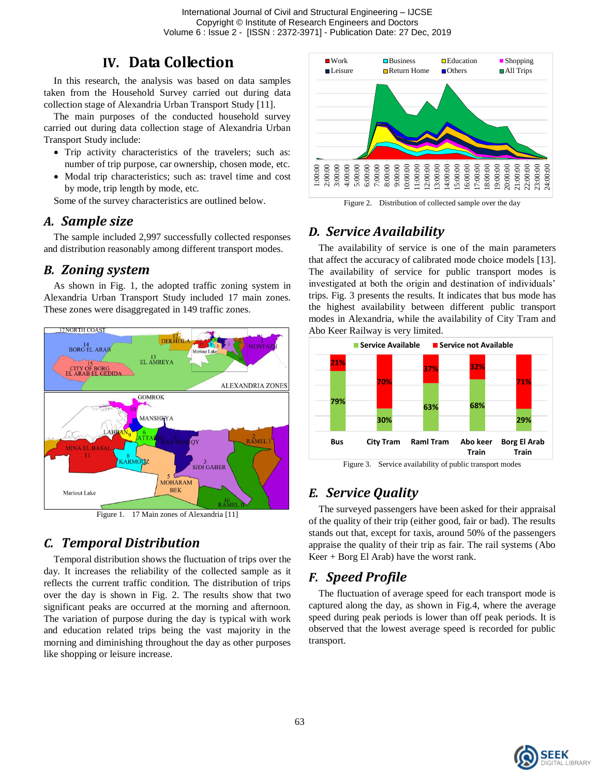International Journal of Civil and Structural Engineering – IJCSE Copyright © Institute of Research Engineers and Doctors Volume 6 : Issue 2 - [ISSN : 2372-3971] - Publication Date: 27 Dec, 2019

### **IV. Data Collection**

In this research, the analysis was based on data samples taken from the Household Survey carried out during data collection stage of Alexandria Urban Transport Study [\[11\]](#page-6-10).

The main purposes of the conducted household survey carried out during data collection stage of Alexandria Urban Transport Study include:

- Trip activity characteristics of the travelers; such as: number of trip purpose, car ownership, chosen mode, etc.
- Modal trip characteristics; such as: travel time and cost by mode, trip length by mode, etc.

Some of the survey characteristics are outlined below.

### *A. Sample size*

The sample included 2,997 successfully collected responses and distribution reasonably among different transport modes.

### *B. Zoning system*

As shown in Fig. 1, the adopted traffic zoning system in Alexandria Urban Transport Study included 17 main zones. These zones were disaggregated in 149 traffic zones.



Figure 1. 17 Main zones of Alexandria [\[11\]](#page-6-10)

### *C. Temporal Distribution*

Temporal distribution shows the fluctuation of trips over the day. It increases the reliability of the collected sample as it reflects the current traffic condition. The distribution of trips over the day is shown in Fig. 2. The results show that two significant peaks are occurred at the morning and afternoon. The variation of purpose during the day is typical with work and education related trips being the vast majority in the morning and diminishing throughout the day as other purposes like shopping or leisure increase.



Figure 2. Distribution of collected sample over the day

# *D. Service Availability*

The availability of service is one of the main parameters that affect the accuracy of calibrated mode choice models [\[13\]](#page-6-12). The availability of service for public transport modes is investigated at both the origin and destination of individuals' trips. Fig. 3 presents the results. It indicates that bus mode has the highest availability between different public transport modes in Alexandria, while the availability of City Tram and Abo Keer Railway is very limited.



Figure 3. Service availability of public transport modes

# *E. Service Quality*

The surveyed passengers have been asked for their appraisal of the quality of their trip (either good, fair or bad). The results stands out that, except for taxis, around 50% of the passengers appraise the quality of their trip as fair. The rail systems (Abo Keer + Borg El Arab) have the worst rank.

### *F. Speed Profile*

The fluctuation of average speed for each transport mode is captured along the day, as shown in Fig.4, where the average speed during peak periods is lower than off peak periods. It is observed that the lowest average speed is recorded for public transport.

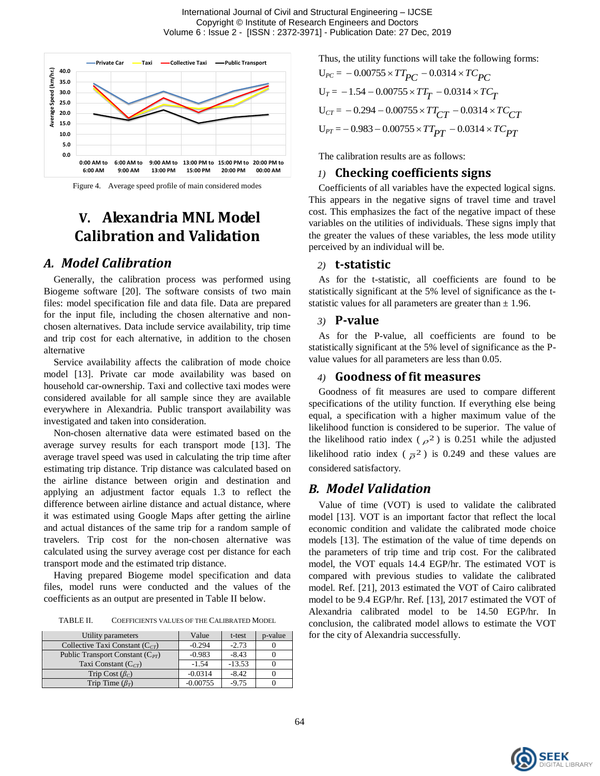

Figure 4. Average speed profile of main considered modes

# **V. Alexandria MNL Model Calibration and Validation**

#### *A. Model Calibration*

Generally, the calibration process was performed using Biogeme software [\[20\]](#page-6-19). The software consists of two main files: model specification file and data file. Data are prepared for the input file, including the chosen alternative and nonchosen alternatives. Data include service availability, trip time and trip cost for each alternative, in addition to the chosen alternative

Service availability affects the calibration of mode choice model [\[13\]](#page-6-12). Private car mode availability was based on household car-ownership. Taxi and collective taxi modes were considered available for all sample since they are available everywhere in Alexandria. Public transport availability was investigated and taken into consideration.

Non-chosen alternative data were estimated based on the average survey results for each transport mode [\[13\]](#page-6-12). The average travel speed was used in calculating the trip time after estimating trip distance. Trip distance was calculated based on the airline distance between origin and destination and applying an adjustment factor equals 1.3 to reflect the difference between airline distance and actual distance, where it was estimated using Google Maps after getting the airline and actual distances of the same trip for a random sample of travelers. Trip cost for the non-chosen alternative was calculated using the survey average cost per distance for each transport mode and the estimated trip distance.

Having prepared Biogeme model specification and data files, model runs were conducted and the values of the coefficients as an output are presented in Table II below.

TABLE II. COEFFICIENTS VALUES OF THE CALIBRATED MODEL

| Utility parameters                   | Value      | t-test   | p-value |
|--------------------------------------|------------|----------|---------|
| Collective Taxi Constant $(C_{CT})$  | $-0.294$   | $-2.73$  |         |
| Public Transport Constant $(C_{PT})$ | $-0.983$   | $-8.43$  |         |
| Taxi Constant $(C_{CT})$             | $-1.54$    | $-13.53$ |         |
| Trip Cost $(\beta_C)$                | $-0.0314$  | $-8.42$  |         |
| Trip Time $(\beta_T)$                | $-0.00755$ | $-9.75$  |         |

Thus, the utility functions will take the following forms:

$$
U_{PC} = -0.00755 \times TT_{PC} - 0.0314 \times TC_{PC}
$$
  
\n
$$
U_T = -1.54 - 0.00755 \times TT_T - 0.0314 \times TC_T
$$
  
\n
$$
U_{CT} = -0.294 - 0.00755 \times TT_{CT} - 0.0314 \times TC_{CT}
$$
  
\n
$$
U_{PT} = -0.983 - 0.00755 \times TT_{PT} - 0.0314 \times TC_{PT}
$$

The calibration results are as follows:

#### *1)* **Checking coefficients signs**

Coefficients of all variables have the expected logical signs. This appears in the negative signs of travel time and travel cost. This emphasizes the fact of the negative impact of these variables on the utilities of individuals. These signs imply that the greater the values of these variables, the less mode utility perceived by an individual will be.

#### *2)* **t-statistic**

As for the t-statistic, all coefficients are found to be statistically significant at the 5% level of significance as the tstatistic values for all parameters are greater than  $\pm$  1.96.

#### *3)* **P-value**

As for the P-value, all coefficients are found to be statistically significant at the 5% level of significance as the Pvalue values for all parameters are less than 0.05.

#### *4)* **Goodness of fit measures**

Goodness of fit measures are used to compare different specifications of the utility function. If everything else being equal, a specification with a higher maximum value of the likelihood function is considered to be superior. The value of the likelihood ratio index ( $\rho^2$ ) is 0.251 while the adjusted likelihood ratio index ( $\overline{\rho}^2$ ) is 0.249 and these values are considered satisfactory.

#### *B. Model Validation*

Value of time (VOT) is used to validate the calibrated model [\[13\]](#page-6-12). VOT is an important factor that reflect the local economic condition and validate the calibrated mode choice models [\[13\]](#page-6-12). The estimation of the value of time depends on the parameters of trip time and trip cost. For the calibrated model, the VOT equals 14.4 EGP/hr. The estimated VOT is compared with previous studies to validate the calibrated model. Ref. [\[21\]](#page-6-20), 2013 estimated the VOT of Cairo calibrated model to be 9.4 EGP/hr. Ref. [\[13\]](#page-6-12), 2017 estimated the VOT of Alexandria calibrated model to be 14.50 EGP/hr. In conclusion, the calibrated model allows to estimate the VOT for the city of Alexandria successfully.

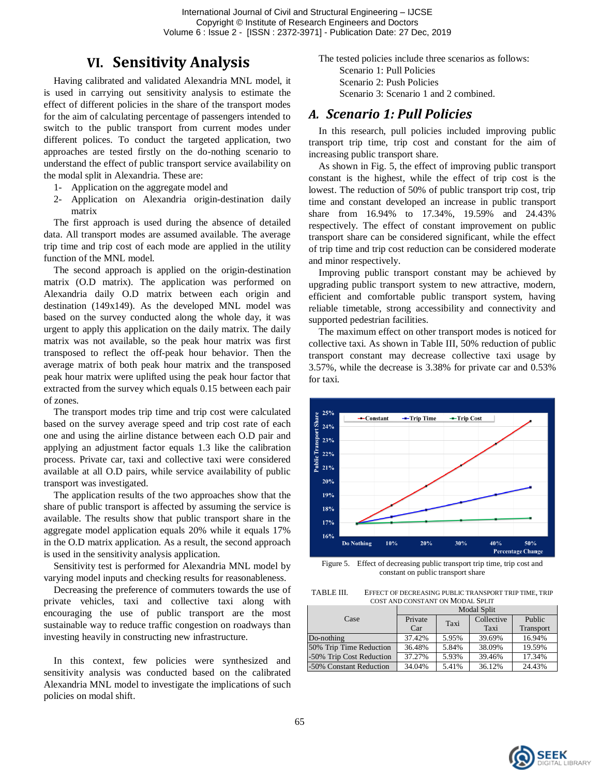International Journal of Civil and Structural Engineering – IJCSE Copyright © Institute of Research Engineers and Doctors Volume 6 : Issue 2 - [ISSN : 2372-3971] - Publication Date: 27 Dec, 2019

### **VI. Sensitivity Analysis**

Having calibrated and validated Alexandria MNL model, it is used in carrying out sensitivity analysis to estimate the effect of different policies in the share of the transport modes for the aim of calculating percentage of passengers intended to switch to the public transport from current modes under different polices. To conduct the targeted application, two approaches are tested firstly on the do-nothing scenario to understand the effect of public transport service availability on the modal split in Alexandria. These are:

- 1- Application on the aggregate model and
- 2- Application on Alexandria origin-destination daily matrix

The first approach is used during the absence of detailed data. All transport modes are assumed available. The average trip time and trip cost of each mode are applied in the utility function of the MNL model.

The second approach is applied on the origin-destination matrix (O.D matrix). The application was performed on Alexandria daily O.D matrix between each origin and destination (149x149). As the developed MNL model was based on the survey conducted along the whole day, it was urgent to apply this application on the daily matrix. The daily matrix was not available, so the peak hour matrix was first transposed to reflect the off-peak hour behavior. Then the average matrix of both peak hour matrix and the transposed peak hour matrix were uplifted using the peak hour factor that extracted from the survey which equals 0.15 between each pair of zones.

The transport modes trip time and trip cost were calculated based on the survey average speed and trip cost rate of each one and using the airline distance between each O.D pair and applying an adjustment factor equals 1.3 like the calibration process. Private car, taxi and collective taxi were considered available at all O.D pairs, while service availability of public transport was investigated.

The application results of the two approaches show that the share of public transport is affected by assuming the service is available. The results show that public transport share in the aggregate model application equals 20% while it equals 17% in the O.D matrix application. As a result, the second approach is used in the sensitivity analysis application.

Sensitivity test is performed for Alexandria MNL model by varying model inputs and checking results for reasonableness.

Decreasing the preference of commuters towards the use of private vehicles, taxi and collective taxi along with encouraging the use of public transport are the most sustainable way to reduce traffic congestion on roadways than investing heavily in constructing new infrastructure.

In this context, few policies were synthesized and sensitivity analysis was conducted based on the calibrated Alexandria MNL model to investigate the implications of such policies on modal shift.

The tested policies include three scenarios as follows: Scenario 1: Pull Policies Scenario 2: Push Policies Scenario 3: Scenario 1 and 2 combined.

### *A. Scenario 1: Pull Policies*

In this research, pull policies included improving public transport trip time, trip cost and constant for the aim of increasing public transport share.

As shown in Fig. 5, the effect of improving public transport constant is the highest, while the effect of trip cost is the lowest. The reduction of 50% of public transport trip cost, trip time and constant developed an increase in public transport share from 16.94% to 17.34%, 19.59% and 24.43% respectively. The effect of constant improvement on public transport share can be considered significant, while the effect of trip time and trip cost reduction can be considered moderate and minor respectively.

Improving public transport constant may be achieved by upgrading public transport system to new attractive, modern, efficient and comfortable public transport system, having reliable timetable, strong accessibility and connectivity and supported pedestrian facilities.

The maximum effect on other transport modes is noticed for collective taxi. As shown in Table III, 50% reduction of public transport constant may decrease collective taxi usage by 3.57%, while the decrease is 3.38% for private car and 0.53% for taxi.



Figure 5. Effect of decreasing public transport trip time, trip cost and constant on public transport share

TABLE III. EFFECT OF DECREASING PUBLIC TRANSPORT TRIP TIME, TRIP COST AND CONSTANT ON MODAL SPLIT

|                          | <b>Modal Split</b> |       |            |           |  |
|--------------------------|--------------------|-------|------------|-----------|--|
| Case                     | Private            | Taxi  | Collective | Public    |  |
|                          | Car                |       | Taxi       | Transport |  |
| Do-nothing               | 37.42%             | 5.95% | 39.69%     | 16.94%    |  |
| 50% Trip Time Reduction  | 36.48%             | 5.84% | 38.09%     | 19.59%    |  |
| -50% Trip Cost Reduction | 37.27%             | 5.93% | 39.46%     | 17.34%    |  |
| -50% Constant Reduction  | 34.04%             | 5.41% | 36.12%     | 24.43%    |  |

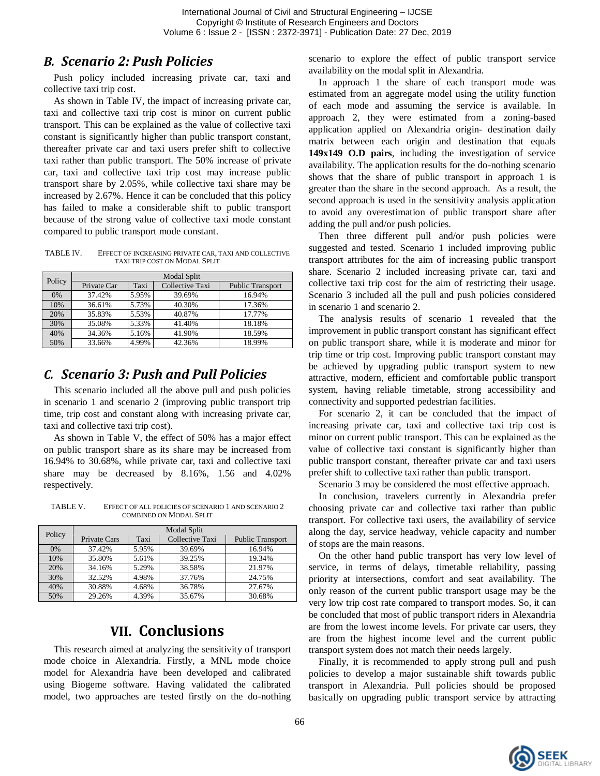### *B. Scenario 2: Push Policies*

Push policy included increasing private car, taxi and collective taxi trip cost.

As shown in Table IV, the impact of increasing private car, taxi and collective taxi trip cost is minor on current public transport. This can be explained as the value of collective taxi constant is significantly higher than public transport constant, thereafter private car and taxi users prefer shift to collective taxi rather than public transport. The 50% increase of private car, taxi and collective taxi trip cost may increase public transport share by 2.05%, while collective taxi share may be increased by 2.67%. Hence it can be concluded that this policy has failed to make a considerable shift to public transport because of the strong value of collective taxi mode constant compared to public transport mode constant.

TABLE IV. EFFECT OF INCREASING PRIVATE CAR, TAXI AND COLLECTIVE TAXI TRIP COST ON MODAL SPLIT

|        | Modal Split |       |                 |                         |  |
|--------|-------------|-------|-----------------|-------------------------|--|
| Policy | Private Car | Taxi  | Collective Taxi | <b>Public Transport</b> |  |
| 0%     | 37.42%      | 5.95% | 39.69%          | 16.94%                  |  |
| 10%    | 36.61%      | 5.73% | 40.30%          | 17.36%                  |  |
| 20%    | 35.83%      | 5.53% | 40.87%          | 17.77%                  |  |
| 30%    | 35.08%      | 5.33% | 41.40%          | 18.18%                  |  |
| 40%    | 34.36%      | 5.16% | 41.90%          | 18.59%                  |  |
| 50%    | 33.66%      | 4.99% | 42.36%          | 18.99%                  |  |

### *C. Scenario 3: Push and Pull Policies*

This scenario included all the above pull and push policies in scenario 1 and scenario 2 (improving public transport trip time, trip cost and constant along with increasing private car, taxi and collective taxi trip cost).

As shown in Table V, the effect of 50% has a major effect on public transport share as its share may be increased from 16.94% to 30.68%, while private car, taxi and collective taxi share may be decreased by 8.16%, 1.56 and 4.02% respectively.

TABLE V. EFFECT OF ALL POLICIES OF SCENARIO 1 AND SCENARIO 2 COMBINED ON MODAL SPLIT

|        |              |       | Modal Split     |                         |  |  |
|--------|--------------|-------|-----------------|-------------------------|--|--|
| Policy |              |       |                 |                         |  |  |
|        | Private Cars | Taxi  | Collective Taxi | <b>Public Transport</b> |  |  |
| 0%     | 37.42%       | 5.95% | 39.69%          | 16.94%                  |  |  |
| 10%    | 35.80%       | 5.61% | 39.25%          | 19.34%                  |  |  |
| 20%    | 34.16%       | 5.29% | 38.58%          | 21.97%                  |  |  |
| 30%    | 32.52%       | 4.98% | 37.76%          | 24.75%                  |  |  |
| 40%    | 30.88%       | 4.68% | 36.78%          | 27.67%                  |  |  |
| 50%    | 29.26%       | 4.39% | 35.67%          | 30.68%                  |  |  |

# **VII. Conclusions**

This research aimed at analyzing the sensitivity of transport mode choice in Alexandria. Firstly, a MNL mode choice model for Alexandria have been developed and calibrated using Biogeme software. Having validated the calibrated model, two approaches are tested firstly on the do-nothing scenario to explore the effect of public transport service availability on the modal split in Alexandria.

In approach 1 the share of each transport mode was estimated from an aggregate model using the utility function of each mode and assuming the service is available. In approach 2, they were estimated from a zoning-based application applied on Alexandria origin- destination daily matrix between each origin and destination that equals **149x149 O.D pairs**, including the investigation of service availability. The application results for the do-nothing scenario shows that the share of public transport in approach 1 is greater than the share in the second approach. As a result, the second approach is used in the sensitivity analysis application to avoid any overestimation of public transport share after adding the pull and/or push policies.

Then three different pull and/or push policies were suggested and tested. Scenario 1 included improving public transport attributes for the aim of increasing public transport share. Scenario 2 included increasing private car, taxi and collective taxi trip cost for the aim of restricting their usage. Scenario 3 included all the pull and push policies considered in scenario 1 and scenario 2.

The analysis results of scenario 1 revealed that the improvement in public transport constant has significant effect on public transport share, while it is moderate and minor for trip time or trip cost. Improving public transport constant may be achieved by upgrading public transport system to new attractive, modern, efficient and comfortable public transport system, having reliable timetable, strong accessibility and connectivity and supported pedestrian facilities.

For scenario 2, it can be concluded that the impact of increasing private car, taxi and collective taxi trip cost is minor on current public transport. This can be explained as the value of collective taxi constant is significantly higher than public transport constant, thereafter private car and taxi users prefer shift to collective taxi rather than public transport.

Scenario 3 may be considered the most effective approach.

In conclusion, travelers currently in Alexandria prefer choosing private car and collective taxi rather than public transport. For collective taxi users, the availability of service along the day, service headway, vehicle capacity and number of stops are the main reasons.

On the other hand public transport has very low level of service, in terms of delays, timetable reliability, passing priority at intersections, comfort and seat availability. The only reason of the current public transport usage may be the very low trip cost rate compared to transport modes. So, it can be concluded that most of public transport riders in Alexandria are from the lowest income levels. For private car users, they are from the highest income level and the current public transport system does not match their needs largely.

Finally, it is recommended to apply strong pull and push policies to develop a major sustainable shift towards public transport in Alexandria. Pull policies should be proposed basically on upgrading public transport service by attracting